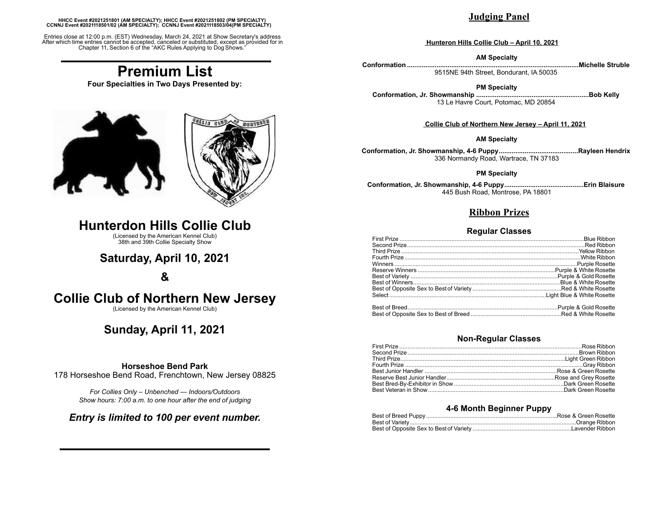#### **HHCC Event #2021251801 (AM SPECIALTY); HHCC Event #2021251802 (PM SPECIALTY) CCNNJ Event #2021118501/02 (AM SPECIALTY); CCNNJ Event #2021118503/04(PM SPECIALTY)**

Entries close at 12:00 p.m. (EST) Wednesday, March 24, 2021 at Show Secretary's address After which time entries cannot be accepted, canceled or substituted, except as provided for in Chapter 11, Section 6 of the "AKC Rules Applying to DogShows."

# **Premium List**

**Four Specialties in Two Days Presented by:**



# **Hunterdon Hills Collie Club**

(Licensed by the American Kennel Club) 38th and 39th Collie Specialty Show

# **Saturday, April 10, 2021**

## **&**

# **Collie Club of Northern New Jersey**

(Licensed by the American Kennel Club)

## **Sunday, April 11, 2021**

### **Horseshoe Bend Park**

178 Horseshoe Bend Road, Frenchtown, New Jersey 08825

*For Collies Only – Unbenched — Indoors/Outdoors Show hours: 7:00 a.m. to one hour after the end of judging*

### *Entry is limited to 100 per event number.*

### **Judging Panel**

#### **Hunteron Hills Collie Club – April 10, 2021**

#### **AM Specialty**

**Conformation .............................................................................................Michelle Struble** 9515NE 94th Street, Bondurant, IA 50035

#### **PM Specialty**

**Conformation, Jr. Showmanship .............................................................Bob Kelly** 13 Le Havre Court, Potomac, MD 20854

#### **Collie Club of Northern New Jersey – April 11, 2021**

#### **AM Specialty**

**Conformation, Jr. Showmanship, 4-6 Puppy...........................................Rayleen Hendrix** 336 Normandy Road, Wartrace, TN 37183

#### **PM Specialty**

**Conformation, Jr. Showmanship, 4-6 Puppy...........................................Erin Blaisure** 445 Bush Road, Montrose, PA 18801

### **Ribbon Prizes**

#### **Regular Classes**

#### **Non-Regular Classes**

#### **4-6 Month Beginner Puppy**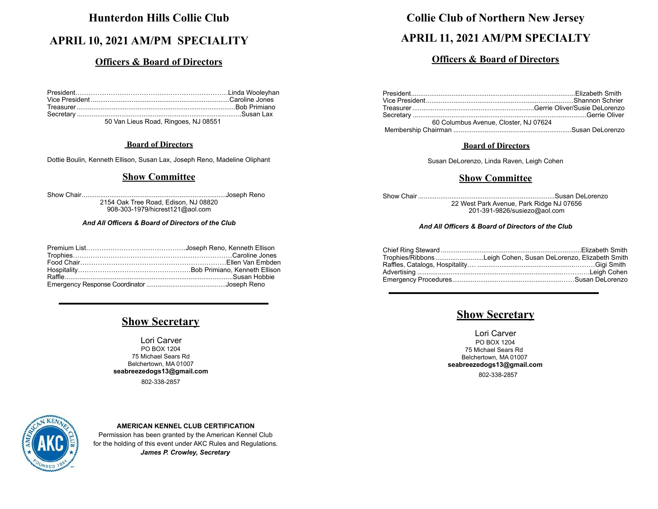# **Hunterdon Hills Collie Club**

# **APRIL 10, 2021 AM/PM SPECIALITY**

## **Officers & Board of Directors**

50 Van Lieus Road, Ringoes, NJ 08551

### **Board of Directors**

Dottie Boulin, Kenneth Ellison, Susan Lax, Joseph Reno, Madeline Oliphant

### **Show Committee**

Show Chair..............................................................................Joseph Reno 2154 Oak Tree Road, Edison, NJ 08820 908-303-1979/hicrest121@aol.com

### *And All Officers & Board of Directors of the Club*

# **Show Secretary**

Lori Carver PO BOX 1204 75 Michael Sears Rd Belchertown, MA 01007 **seabreezedogs13@gmail.com** 802-338-2857



### **AMERICAN KENNEL CLUB CERTIFICATION**

Permission has been granted by the American Kennel Club for the holding of this event under AKC Rules and Regulations. *James P. Crowley, Secretary*

# **Collie Club of Northern New Jersey**

# **APRIL 11, 2021 AM/PM SPECIALTY**

### **Officers & Board of Directors**

| 60 Columbus Avenue, Closter, NJ 07624 |  |
|---------------------------------------|--|
|                                       |  |

### **Board of Directors**

Susan DeLorenzo, Linda Raven, Leigh Cohen

### **Show Committee**

Show Chair ..........................................................................Susan DeLorenzo 22 West Park Avenue, Park Ridge NJ 07656

201-391-9826/susiezo@aol.com

### *And All Officers & Board of Directors of the Club*

| Trophies/Ribbons Leigh Cohen, Susan DeLorenzo, Elizabeth Smith |
|----------------------------------------------------------------|
|                                                                |
|                                                                |
|                                                                |

### **Show Secretary**

Lori Carver PO BOX 1204 75 Michael Sears Rd Belchertown, MA 01007 **seabreezedogs13@gmail.com** 802-338-2857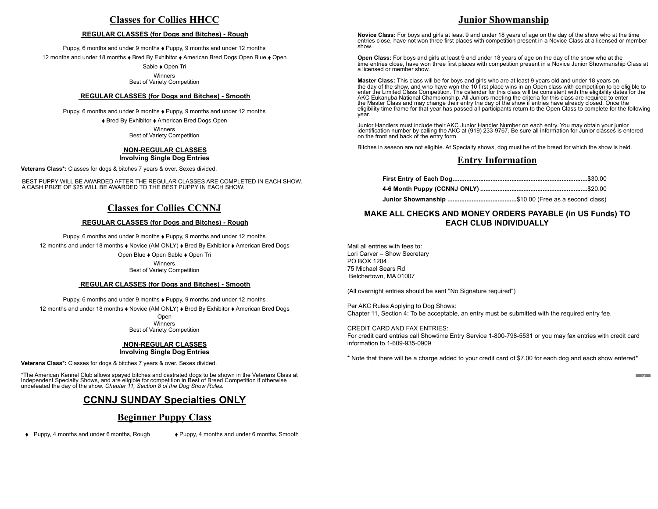### **Classes for Collies HHCC**

#### **REGULAR CLASSES (for Dogs and Bitches) - Rough**

Puppy, 6 months and under 9 months ♦ Puppy, 9 months and under 12 months

12 months and under 18 months ♦ Bred By Exhibitor ♦ American Bred Dogs Open Blue ♦ Open

Sable ♦ Open Tri

Winners Best of Variety Competition

#### **REGULAR CLASSES (for Dogs and Bitches) - Smooth**

Puppy, 6 months and under 9 months  $\triangle$  Puppy, 9 months and under 12 months ♦ Bred By Exhibitor ♦ American Bred Dogs Open

> **Winners** Best of Variety Competition

#### **NON-REGULAR CLASSES Involving Single Dog Entries**

**Veterans Class\*:** Classes for dogs & bitches 7 years & over. Sexes divided.

 BEST PUPPY WILL BE AWARDED AFTER THE REGULAR CLASSES ARE COMPLETED IN EACH SHOW. A CASH PRIZE OF \$25 WILL BE AWARDED TO THE BEST PUPPY IN EACH SHOW.

### **Classes for Collies CCNNJ**

#### **REGULAR CLASSES (for Dogs and Bitches) - Rough**

Puppy, 6 months and under 9 months ♦ Puppy, 9 months and under 12 months

12 months and under 18 months ♦ Novice (AM ONLY) ♦ Bred By Exhibitor ♦ American Bred Dogs

Open Blue ⬧ Open Sable ⬧ Open Tri

Winners Best of Variety Competition

#### **REGULAR CLASSES (for Dogs and Bitches) - Smooth**

Puppy, 6 months and under 9 months ♦ Puppy, 9 months and under 12 months

12 months and under 18 months ♦ Novice (AM ONLY) ♦ Bred By Exhibitor ♦ American Bred Dogs

Open Winners Best of Variety Competition

#### **NON-REGULAR CLASSES Involving Single Dog Entries**

**Veterans Class\*:** Classes for dogs & bitches 7 years & over. Sexes divided.

\*The American Kennel Club allows spayed bitches and castrated dogs to be shown in the Veterans Class at Independent Specialty Shows, and are eligible for competition in Best of Breed Competition if otherwise undefeated the day of the show. *Chapter 11, Section 8 of the Dog Show Rules.*

### **CCNNJ SUNDAY Specialties ONLY**

### **Beginner Puppy Class**

♦ Puppy, 4 months and under 6 months, Rough ♦ Puppy, 4 months and under 6 months, Smooth

### **Junior Showmanship**

**Novice Class:** For boys and girls at least 9 and under 18 years of age on the day of the show who at the time entries close, have not won three first places with competition present in a Novice Class at a licensed or member show.

**Open Class:** For boys and girls at least 9 and under 18 years of age on the day of the show who at the time entries close, have won three first places with competition present in a Novice Junior Showmanship Class at a licensed or member show.

**Master Class:** This class will be for boys and girls who are at least 9 years old and under 18 years on the day of the show, and who have won the 10 first place wins in an Open class with competition to be eligible to<br>enter the Limited Class Competition. The calendar for this class will be consistent with the eligibility dat AKC Eukanuba National Championship. All Juniors meeting the criteria for this class are required to enter the Master Class and may change their entry the day of the show if entries have already closed. Once the eligibility time frame for that year has passed all participants return to the Open Class to complete for the following year.

Junior Handlers must include their AKC Junior Handler Number on each entry. You may obtain your junior identification number by calling the AKC at (919) 233-9767. Be sure all information for Junior classes is entered on the front and back of the entry form.

Bitches in season are not eligible. At Specialty shows, dog must be of the breed for which the show is held.

### **Entry Information**

**Junior Showmanship ........................................**\$10.00 (Free as a second class)

### **MAKE ALL CHECKS AND MONEY ORDERS PAYABLE (in US Funds) TO EACH CLUB INDIVIDUALLY**

Mail all entries with fees to: Lori Carver – Show Secretary PO BOX 1204 75 Michael Sears Rd Belchertown, MA 01007

(All overnight entries should be sent "No Signature required")

Per AKC Rules Applying to Dog Shows: Chapter 11, Section 4: To be acceptable, an entry must be submitted with the required entry fee.

CREDIT CARD AND FAX ENTRIES:

For credit card entries call Showtime Entry Service 1-800-798-5531 or you may fax entries with credit card information to 1-609-935-0909

\* Note that there will be a charge added to your credit card of \$7.00 for each dog and each show entered\*

*If*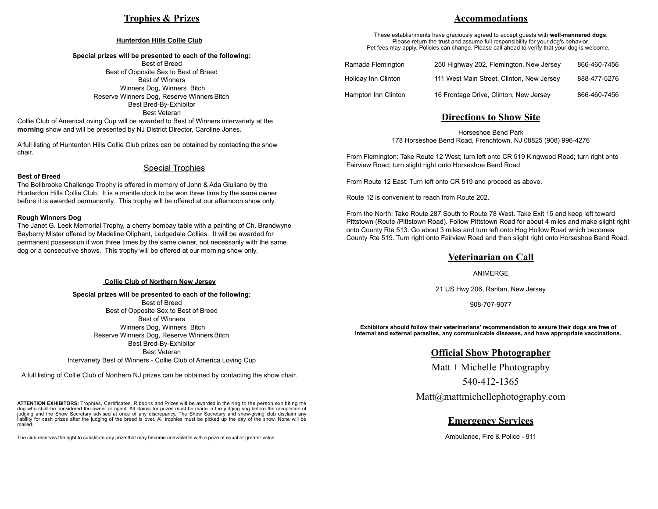### **Trophies & Prizes**

#### **Hunterdon Hills Collie Club**

#### **Special prizes will be presented to each of the following:**

Best of Breed Best of Opposite Sex to Best of Breed Best of Winners Winners Dog, Winners Bitch Reserve Winners Dog, Reserve Winners Bitch Best Bred-By-Exhibitor Best Veteran

Collie Club of AmericaLoving Cup will be awarded to Best of Winners intervariety at the **morning** show and will be presented by NJ District Director, Caroline Jones.

A full listing of Hunterdon Hills Collie Club prizes can be obtained by contacting the show chair.

#### **Best of Breed**

#### Special Trophies

The Bellbrooke Challenge Trophy is offered in memory of John & Ada Giuliano by the Hunterdon Hills Collie Club. It is a mantle clock to be won three time by the same owner before it is awarded permanently. This trophy will be offered at our afternoon show only.

#### **Rough Winners Dog**

The Janet G. Leek Memorial Trophy, a cherry bombay table with a painting of Ch. Brandwyne Bayberry Mister offered by Madeline Oliphant, Ledgedale Collies. It will be awarded for permanent possession if won three times by the same owner, not necessarily with the same dog or a consecutive shows. This trophy will be offered at our morning show only.

#### **Collie Club of Northern New Jersey**

**Special prizes will be presented to each of the following:** Best of Breed Best of Opposite Sex to Best of Breed Best of Winners Winners Dog, Winners Bitch Reserve Winners Dog, Reserve Winners Bitch Best Bred-By-Exhibitor Best Veteran

Intervariety Best of Winners - Collie Club of America Loving Cup

A full listing of Collie Club of Northern NJ prizes can be obtained by contacting the show chair.

**ATTENTION EXHIBITORS:** Trophies, Certificates, Ribbons and Prizes will be awarded in the ring to the person exhibiting the dog who shall be considered the owner or agent. All claims for prizes must be made in the judging ring before the completion of judging and the Show Secretary advised at once of any discrepancy. The Show Secretary and show-giving club disclaim any liability for cash prizes after the judging of the breed is over. All trophies must be picked up the day of the show. None will be mailed.

The club reserves the right to substitute any prize that may become unavailable with a prize of equal or greater value.

### **Accommodations**

These establishments have graciously agreed to accept guests with **well-mannered dogs**. Please return the trust and assume full responsibility for your dog's behavior. Pet fees may apply. Policies can change. Please call ahead to verify that your dog is welcome.

| Ramada Flemington   | 250 Highway 202, Flemington, New Jersey   | 866-460-7456 |
|---------------------|-------------------------------------------|--------------|
| Holiday Inn Clinton | 111 West Main Street, Clinton, New Jersey | 888-477-5276 |
| Hampton Inn Clinton | 16 Frontage Drive, Clinton, New Jersey    | 866-460-7456 |

### **Directions to Show Site**

Horseshoe Bend Park 178 Horseshoe Bend Road, Frenchtown, NJ 08825 (908) 996-4276

From Flemington: Take Route 12 West; turn left onto CR 519 Kingwood Road; turn right onto Fairview Road; turn slight right onto Horseshoe Bend Road

From Route 12 East: Turn left onto CR 519 and proceed as above.

Route 12 is convenient to reach from Route 202.

From the North: Take Route 287 South to Route 78 West. Take Exit 15 and keep left toward Pittstown (Route /Pittstown Road). Follow Pittstown Road for about 4 miles and make slight right onto County Rte 513. Go about 3 miles and turn left onto Hog Hollow Road which becomes County Rte 519. Turn right onto Fairview Road and then slight right onto Horseshoe Bend Road.

#### **Veterinarian on Call**

ANIMERGE

21 US Hwy 206, Raritan, New Jersey

908-707-9077

**Exhibitors should follow their veterinarians' recommendation to assure their dogs are free of Internal and external parasites, any communicable diseases, and have appropriate vaccinations.**

### **Official Show Photographer**

Matt + Michelle Photography

540-412-1365

Matt@mattmichellephotography.com

### **Emergency Services**

Ambulance, Fire & Police - 911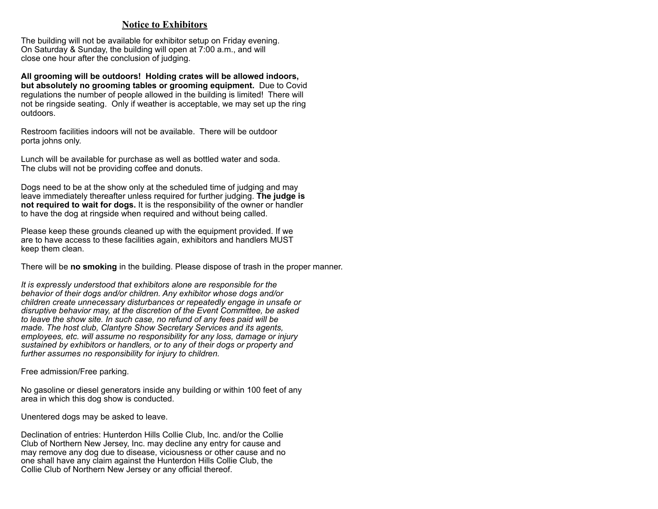### **Notice to Exhibitors**

The building will not be available for exhibitor setup on Friday evening. On Saturday & Sunday, the building will open at 7:00 a.m., and will close one hour after the conclusion of judging.

**All grooming will be outdoors! Holding crates will be allowed indoors, but absolutely no grooming tables or grooming equipment.** Due to Covid regulations the number of people allowed in the building is limited! There will not be ringside seating. Only if weather is acceptable, we may set up the ring outdoors.

Restroom facilities indoors will not be available. There will be outdoor porta johns only.

Lunch will be available for purchase as well as bottled water and soda. The clubs will not be providing coffee and donuts.

Dogs need to be at the show only at the scheduled time of judging and may leave immediately thereafter unless required for further judging. **The judge is not required to wait for dogs.** It is the responsibility of the owner or handler to have the dog at ringside when required and without being called.

Please keep these grounds cleaned up with the equipment provided. If we are to have access to these facilities again, exhibitors and handlers MUST keep them clean.

There will be **no smoking** in the building. Please dispose of trash in the proper manner.

*It is expressly understood that exhibitors alone are responsible for the behavior of their dogs and/or children. Any exhibitor whose dogs and/or children create unnecessary disturbances or repeatedly engage in unsafe or disruptive behavior may, at the discretion of the Event Committee, be asked to leave the show site. In such case, no refund of any fees paid will be made. The host club, Clantyre Show Secretary Services and its agents, employees, etc. will assume no responsibility for any loss, damage or injury sustained by exhibitors or handlers, or to any of their dogs or property and further assumes no responsibility for injury to children.*

Free admission/Free parking.

No gasoline or diesel generators inside any building or within 100 feet of any area in which this dog show is conducted.

Unentered dogs may be asked to leave.

Declination of entries: Hunterdon Hills Collie Club, Inc. and/or the Collie Club of Northern New Jersey, Inc. may decline any entry for cause and may remove any dog due to disease, viciousness or other cause and no one shall have any claim against the Hunterdon Hills Collie Club, the Collie Club of Northern New Jersey or any official thereof.